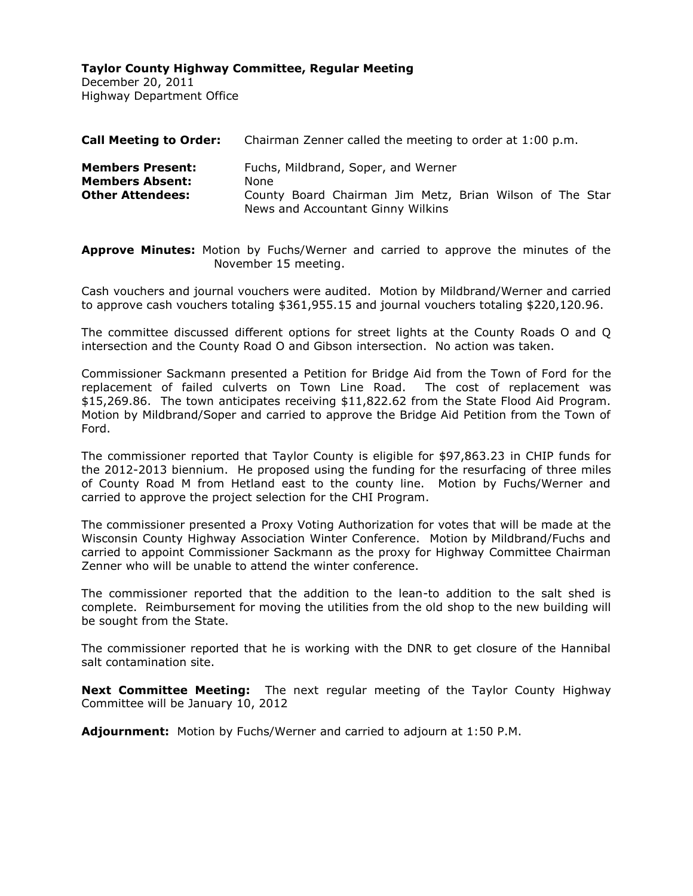December 20, 2011 Highway Department Office

| <b>Call Meeting to Order:</b>                                                | Chairman Zenner called the meeting to order at 1:00 p.m.                                                                                     |  |  |  |
|------------------------------------------------------------------------------|----------------------------------------------------------------------------------------------------------------------------------------------|--|--|--|
| <b>Members Present:</b><br><b>Members Absent:</b><br><b>Other Attendees:</b> | Fuchs, Mildbrand, Soper, and Werner<br>None<br>County Board Chairman Jim Metz, Brian Wilson of The Star<br>News and Accountant Ginny Wilkins |  |  |  |

**Approve Minutes:** Motion by Fuchs/Werner and carried to approve the minutes of the November 15 meeting.

Cash vouchers and journal vouchers were audited. Motion by Mildbrand/Werner and carried to approve cash vouchers totaling \$361,955.15 and journal vouchers totaling \$220,120.96.

The committee discussed different options for street lights at the County Roads O and Q intersection and the County Road O and Gibson intersection. No action was taken.

Commissioner Sackmann presented a Petition for Bridge Aid from the Town of Ford for the replacement of failed culverts on Town Line Road. The cost of replacement was \$15,269.86. The town anticipates receiving \$11,822.62 from the State Flood Aid Program. Motion by Mildbrand/Soper and carried to approve the Bridge Aid Petition from the Town of Ford.

The commissioner reported that Taylor County is eligible for \$97,863.23 in CHIP funds for the 2012-2013 biennium. He proposed using the funding for the resurfacing of three miles of County Road M from Hetland east to the county line. Motion by Fuchs/Werner and carried to approve the project selection for the CHI Program.

The commissioner presented a Proxy Voting Authorization for votes that will be made at the Wisconsin County Highway Association Winter Conference. Motion by Mildbrand/Fuchs and carried to appoint Commissioner Sackmann as the proxy for Highway Committee Chairman Zenner who will be unable to attend the winter conference.

The commissioner reported that the addition to the lean-to addition to the salt shed is complete. Reimbursement for moving the utilities from the old shop to the new building will be sought from the State.

The commissioner reported that he is working with the DNR to get closure of the Hannibal salt contamination site.

**Next Committee Meeting:** The next regular meeting of the Taylor County Highway Committee will be January 10, 2012

**Adjournment:** Motion by Fuchs/Werner and carried to adjourn at 1:50 P.M.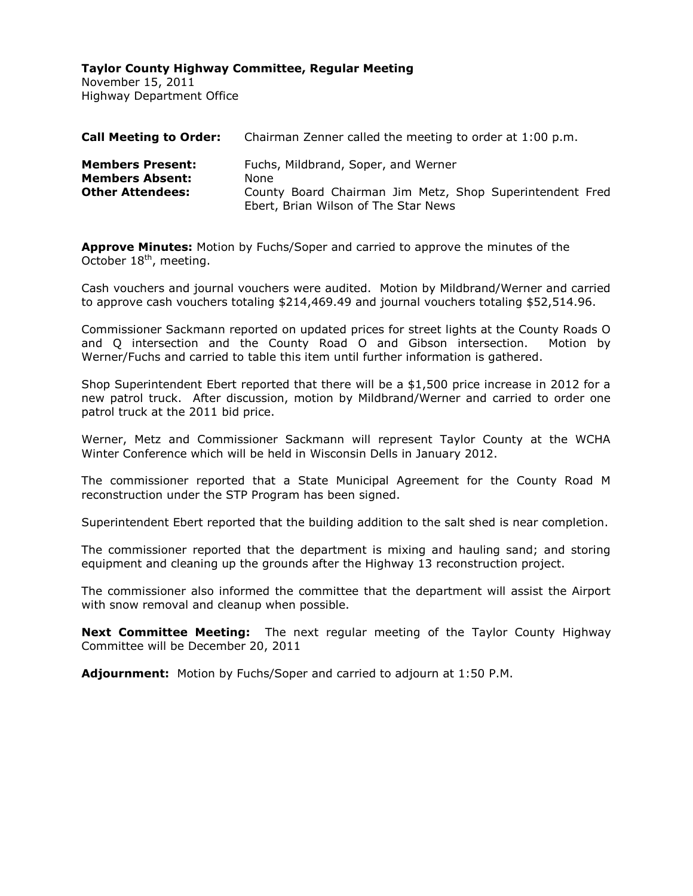November 15, 2011 Highway Department Office

| <b>Call Meeting to Order:</b>                                                | Chairman Zenner called the meeting to order at 1:00 p.m.                                                                                        |
|------------------------------------------------------------------------------|-------------------------------------------------------------------------------------------------------------------------------------------------|
| <b>Members Present:</b><br><b>Members Absent:</b><br><b>Other Attendees:</b> | Fuchs, Mildbrand, Soper, and Werner<br>None<br>County Board Chairman Jim Metz, Shop Superintendent Fred<br>Ebert, Brian Wilson of The Star News |

**Approve Minutes:** Motion by Fuchs/Soper and carried to approve the minutes of the October 18<sup>th</sup>, meeting.

Cash vouchers and journal vouchers were audited. Motion by Mildbrand/Werner and carried to approve cash vouchers totaling \$214,469.49 and journal vouchers totaling \$52,514.96.

Commissioner Sackmann reported on updated prices for street lights at the County Roads O and Q intersection and the County Road O and Gibson intersection. Motion by Werner/Fuchs and carried to table this item until further information is gathered.

Shop Superintendent Ebert reported that there will be a \$1,500 price increase in 2012 for a new patrol truck. After discussion, motion by Mildbrand/Werner and carried to order one patrol truck at the 2011 bid price.

Werner, Metz and Commissioner Sackmann will represent Taylor County at the WCHA Winter Conference which will be held in Wisconsin Dells in January 2012.

The commissioner reported that a State Municipal Agreement for the County Road M reconstruction under the STP Program has been signed.

Superintendent Ebert reported that the building addition to the salt shed is near completion.

The commissioner reported that the department is mixing and hauling sand; and storing equipment and cleaning up the grounds after the Highway 13 reconstruction project.

The commissioner also informed the committee that the department will assist the Airport with snow removal and cleanup when possible.

**Next Committee Meeting:** The next regular meeting of the Taylor County Highway Committee will be December 20, 2011

**Adjournment:** Motion by Fuchs/Soper and carried to adjourn at 1:50 P.M.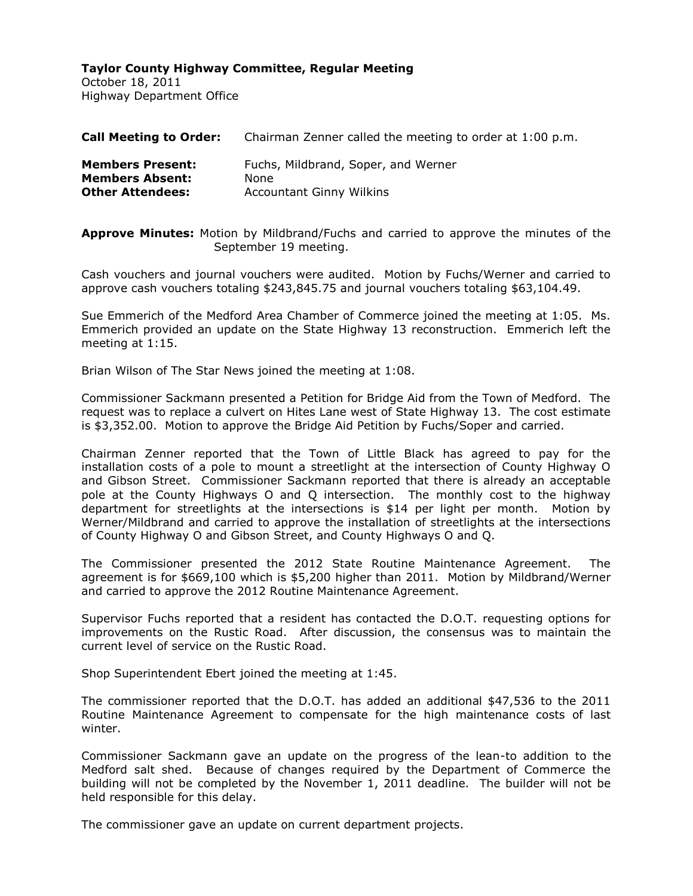October 18, 2011 Highway Department Office

| <b>Call Meeting to Order:</b> | Chairman Zenner called the meeting to order at 1:00 p.m. |
|-------------------------------|----------------------------------------------------------|
| <b>Members Present:</b>       | Fuchs, Mildbrand, Soper, and Werner                      |
| <b>Members Absent:</b>        | <b>None</b>                                              |
| <b>Other Attendees:</b>       | <b>Accountant Ginny Wilkins</b>                          |

**Approve Minutes:** Motion by Mildbrand/Fuchs and carried to approve the minutes of the September 19 meeting.

Cash vouchers and journal vouchers were audited. Motion by Fuchs/Werner and carried to approve cash vouchers totaling \$243,845.75 and journal vouchers totaling \$63,104.49.

Sue Emmerich of the Medford Area Chamber of Commerce joined the meeting at 1:05. Ms. Emmerich provided an update on the State Highway 13 reconstruction. Emmerich left the meeting at 1:15.

Brian Wilson of The Star News joined the meeting at 1:08.

Commissioner Sackmann presented a Petition for Bridge Aid from the Town of Medford. The request was to replace a culvert on Hites Lane west of State Highway 13. The cost estimate is \$3,352.00. Motion to approve the Bridge Aid Petition by Fuchs/Soper and carried.

Chairman Zenner reported that the Town of Little Black has agreed to pay for the installation costs of a pole to mount a streetlight at the intersection of County Highway O and Gibson Street. Commissioner Sackmann reported that there is already an acceptable pole at the County Highways O and Q intersection. The monthly cost to the highway department for streetlights at the intersections is \$14 per light per month. Motion by Werner/Mildbrand and carried to approve the installation of streetlights at the intersections of County Highway O and Gibson Street, and County Highways O and Q.

The Commissioner presented the 2012 State Routine Maintenance Agreement. The agreement is for \$669,100 which is \$5,200 higher than 2011. Motion by Mildbrand/Werner and carried to approve the 2012 Routine Maintenance Agreement.

Supervisor Fuchs reported that a resident has contacted the D.O.T. requesting options for improvements on the Rustic Road. After discussion, the consensus was to maintain the current level of service on the Rustic Road.

Shop Superintendent Ebert joined the meeting at 1:45.

The commissioner reported that the D.O.T. has added an additional \$47,536 to the 2011 Routine Maintenance Agreement to compensate for the high maintenance costs of last winter.

Commissioner Sackmann gave an update on the progress of the lean-to addition to the Medford salt shed. Because of changes required by the Department of Commerce the building will not be completed by the November 1, 2011 deadline. The builder will not be held responsible for this delay.

The commissioner gave an update on current department projects.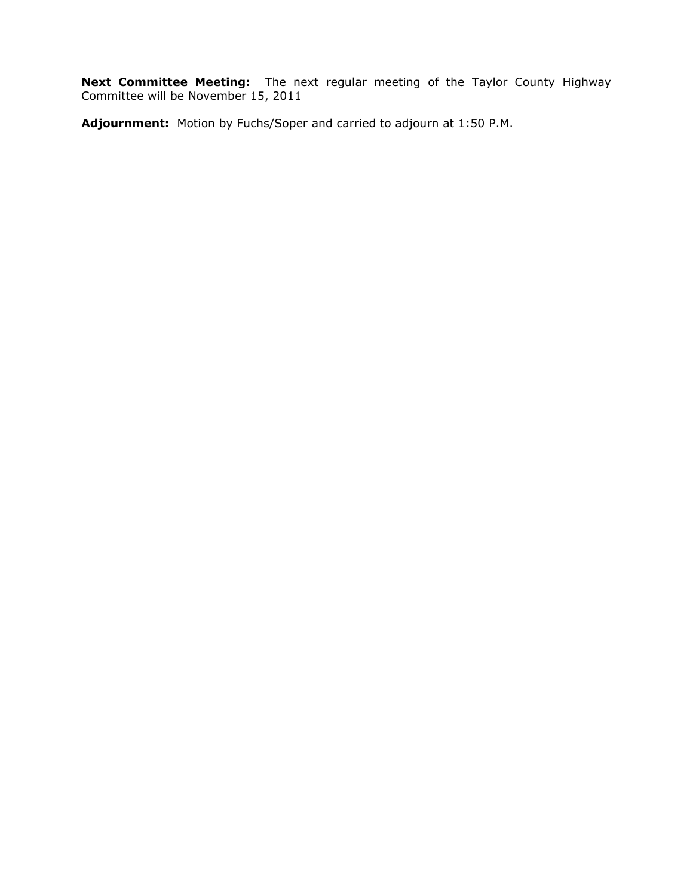**Next Committee Meeting:** The next regular meeting of the Taylor County Highway Committee will be November 15, 2011

**Adjournment:** Motion by Fuchs/Soper and carried to adjourn at 1:50 P.M.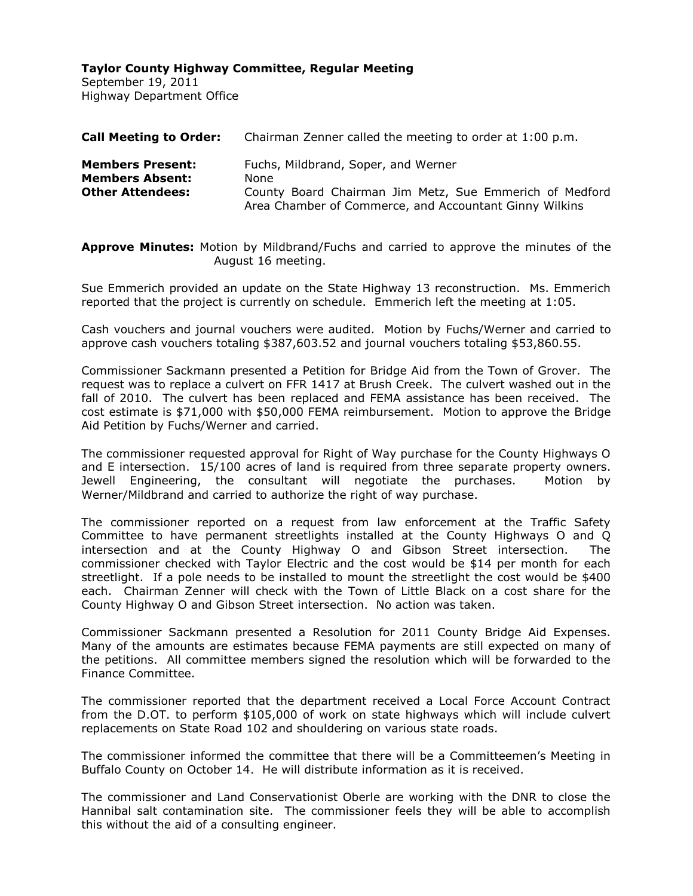September 19, 2011 Highway Department Office

| <b>Call Meeting to Order:</b>                                                | Chairman Zenner called the meeting to order at 1:00 p.m.                                                                                                         |
|------------------------------------------------------------------------------|------------------------------------------------------------------------------------------------------------------------------------------------------------------|
| <b>Members Present:</b><br><b>Members Absent:</b><br><b>Other Attendees:</b> | Fuchs, Mildbrand, Soper, and Werner<br>None<br>County Board Chairman Jim Metz, Sue Emmerich of Medford<br>Area Chamber of Commerce, and Accountant Ginny Wilkins |

**Approve Minutes:** Motion by Mildbrand/Fuchs and carried to approve the minutes of the August 16 meeting.

Sue Emmerich provided an update on the State Highway 13 reconstruction. Ms. Emmerich reported that the project is currently on schedule. Emmerich left the meeting at 1:05.

Cash vouchers and journal vouchers were audited. Motion by Fuchs/Werner and carried to approve cash vouchers totaling \$387,603.52 and journal vouchers totaling \$53,860.55.

Commissioner Sackmann presented a Petition for Bridge Aid from the Town of Grover. The request was to replace a culvert on FFR 1417 at Brush Creek. The culvert washed out in the fall of 2010. The culvert has been replaced and FEMA assistance has been received. The cost estimate is \$71,000 with \$50,000 FEMA reimbursement. Motion to approve the Bridge Aid Petition by Fuchs/Werner and carried.

The commissioner requested approval for Right of Way purchase for the County Highways O and E intersection. 15/100 acres of land is required from three separate property owners. Jewell Engineering, the consultant will negotiate the purchases. Motion by Werner/Mildbrand and carried to authorize the right of way purchase.

The commissioner reported on a request from law enforcement at the Traffic Safety Committee to have permanent streetlights installed at the County Highways O and Q intersection and at the County Highway O and Gibson Street intersection. The commissioner checked with Taylor Electric and the cost would be \$14 per month for each streetlight. If a pole needs to be installed to mount the streetlight the cost would be \$400 each. Chairman Zenner will check with the Town of Little Black on a cost share for the County Highway O and Gibson Street intersection. No action was taken.

Commissioner Sackmann presented a Resolution for 2011 County Bridge Aid Expenses. Many of the amounts are estimates because FEMA payments are still expected on many of the petitions. All committee members signed the resolution which will be forwarded to the Finance Committee.

The commissioner reported that the department received a Local Force Account Contract from the D.OT. to perform \$105,000 of work on state highways which will include culvert replacements on State Road 102 and shouldering on various state roads.

The commissioner informed the committee that there will be a Committeemen's Meeting in Buffalo County on October 14. He will distribute information as it is received.

The commissioner and Land Conservationist Oberle are working with the DNR to close the Hannibal salt contamination site. The commissioner feels they will be able to accomplish this without the aid of a consulting engineer.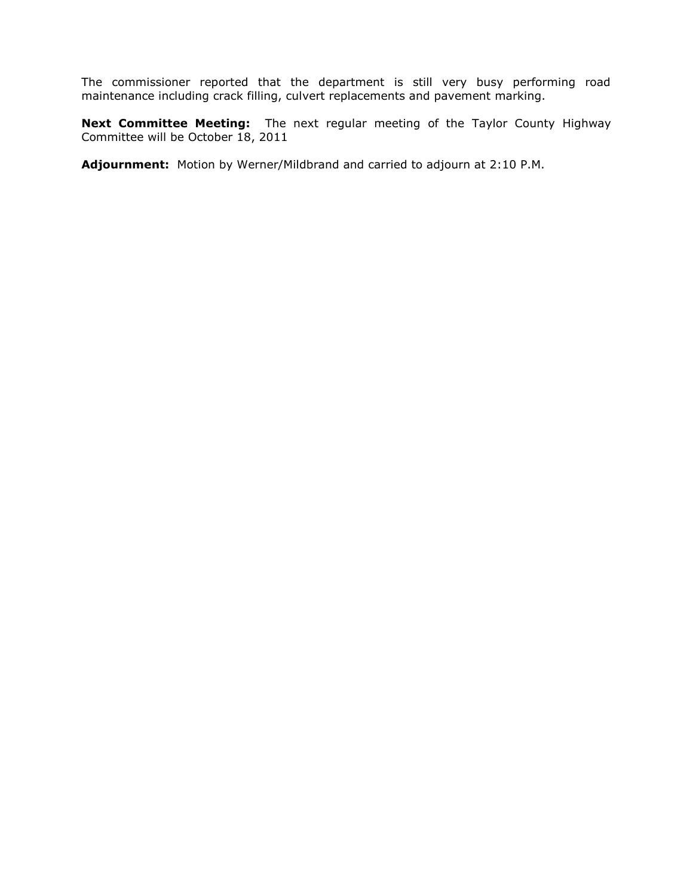The commissioner reported that the department is still very busy performing road maintenance including crack filling, culvert replacements and pavement marking.

**Next Committee Meeting:** The next regular meeting of the Taylor County Highway Committee will be October 18, 2011

**Adjournment:** Motion by Werner/Mildbrand and carried to adjourn at 2:10 P.M.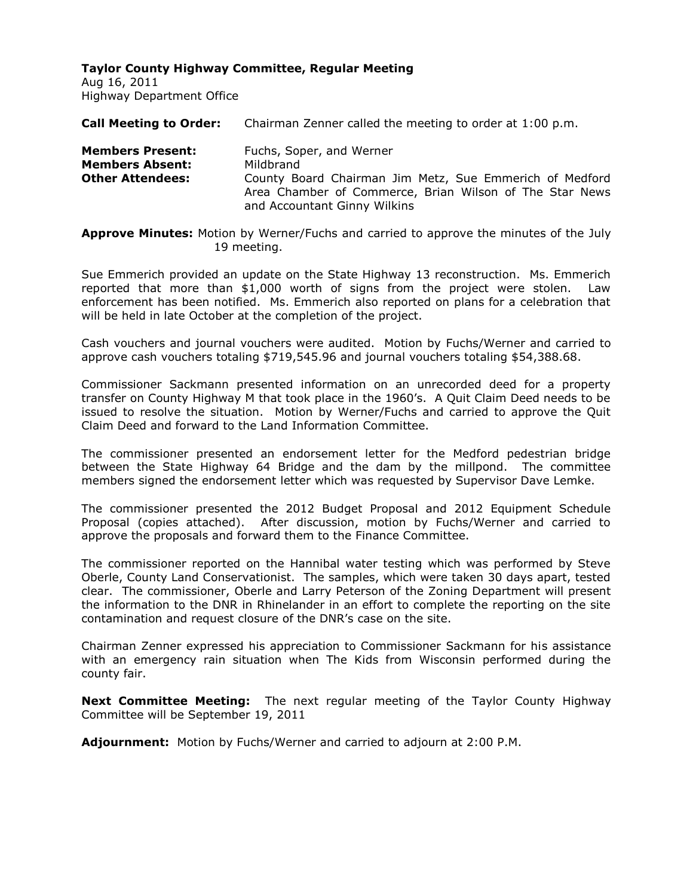Aug 16, 2011 Highway Department Office

| <b>Call Meeting to Order:</b>                                                | Chairman Zenner called the meeting to order at 1:00 p.m.                                                                                                    |  |  |
|------------------------------------------------------------------------------|-------------------------------------------------------------------------------------------------------------------------------------------------------------|--|--|
| <b>Members Present:</b><br><b>Members Absent:</b><br><b>Other Attendees:</b> | Fuchs, Soper, and Werner<br>Mildbrand<br>County Board Chairman Jim Metz, Sue Emmerich of Medford<br>Area Chamber of Commerce, Brian Wilson of The Star News |  |  |
|                                                                              | and Accountant Ginny Wilkins                                                                                                                                |  |  |

**Approve Minutes:** Motion by Werner/Fuchs and carried to approve the minutes of the July 19 meeting.

Sue Emmerich provided an update on the State Highway 13 reconstruction. Ms. Emmerich reported that more than \$1,000 worth of signs from the project were stolen. Law enforcement has been notified. Ms. Emmerich also reported on plans for a celebration that will be held in late October at the completion of the project.

Cash vouchers and journal vouchers were audited. Motion by Fuchs/Werner and carried to approve cash vouchers totaling \$719,545.96 and journal vouchers totaling \$54,388.68.

Commissioner Sackmann presented information on an unrecorded deed for a property transfer on County Highway M that took place in the 1960's. A Quit Claim Deed needs to be issued to resolve the situation. Motion by Werner/Fuchs and carried to approve the Quit Claim Deed and forward to the Land Information Committee.

The commissioner presented an endorsement letter for the Medford pedestrian bridge between the State Highway 64 Bridge and the dam by the millpond. The committee members signed the endorsement letter which was requested by Supervisor Dave Lemke.

The commissioner presented the 2012 Budget Proposal and 2012 Equipment Schedule Proposal (copies attached). After discussion, motion by Fuchs/Werner and carried to approve the proposals and forward them to the Finance Committee.

The commissioner reported on the Hannibal water testing which was performed by Steve Oberle, County Land Conservationist. The samples, which were taken 30 days apart, tested clear. The commissioner, Oberle and Larry Peterson of the Zoning Department will present the information to the DNR in Rhinelander in an effort to complete the reporting on the site contamination and request closure of the DNR's case on the site.

Chairman Zenner expressed his appreciation to Commissioner Sackmann for his assistance with an emergency rain situation when The Kids from Wisconsin performed during the county fair.

**Next Committee Meeting:** The next regular meeting of the Taylor County Highway Committee will be September 19, 2011

**Adjournment:** Motion by Fuchs/Werner and carried to adjourn at 2:00 P.M.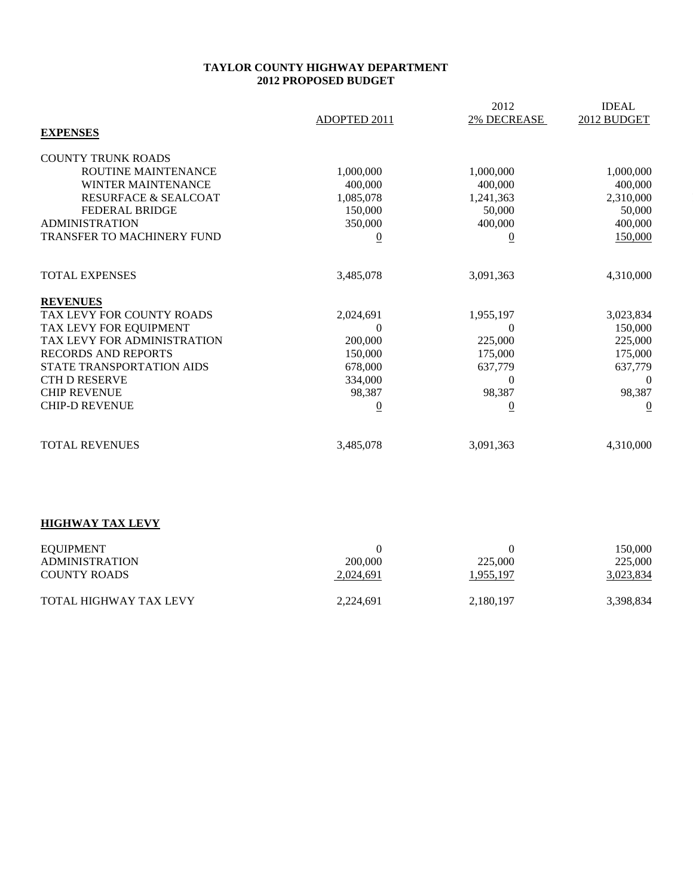#### **TAYLOR COUNTY HIGHWAY DEPARTMENT 2012 PROPOSED BUDGET**

|                                 |                | 2012               | <b>IDEAL</b>     |
|---------------------------------|----------------|--------------------|------------------|
|                                 | ADOPTED 2011   | <b>2% DECREASE</b> | 2012 BUDGET      |
| <b>EXPENSES</b>                 |                |                    |                  |
| <b>COUNTY TRUNK ROADS</b>       |                |                    |                  |
| ROUTINE MAINTENANCE             | 1,000,000      | 1,000,000          | 1,000,000        |
| <b>WINTER MAINTENANCE</b>       | 400,000        | 400,000            | 400,000          |
| <b>RESURFACE &amp; SEALCOAT</b> | 1,085,078      | 1,241,363          | 2,310,000        |
| <b>FEDERAL BRIDGE</b>           | 150,000        | 50,000             | 50,000           |
| <b>ADMINISTRATION</b>           | 350,000        | 400,000            | 400,000          |
| TRANSFER TO MACHINERY FUND      | $\overline{0}$ | $\overline{0}$     | 150,000          |
|                                 |                |                    |                  |
| <b>TOTAL EXPENSES</b>           | 3,485,078      | 3,091,363          | 4,310,000        |
| <b>REVENUES</b>                 |                |                    |                  |
| TAX LEVY FOR COUNTY ROADS       | 2,024,691      | 1,955,197          | 3,023,834        |
| TAX LEVY FOR EQUIPMENT          | $\theta$       |                    | 150,000          |
| TAX LEVY FOR ADMINISTRATION     | 200,000        | 225,000            | 225,000          |
| <b>RECORDS AND REPORTS</b>      | 150,000        | 175,000            | 175,000          |
| STATE TRANSPORTATION AIDS       | 678,000        | 637,779            | 637,779          |
| <b>CTH D RESERVE</b>            | 334,000        | $\Omega$           | $\boldsymbol{0}$ |
| <b>CHIP REVENUE</b>             | 98,387         | 98,387             | 98,387           |
| <b>CHIP-D REVENUE</b>           | $\overline{0}$ | $\overline{0}$     | $\overline{0}$   |
|                                 |                |                    |                  |
| <b>TOTAL REVENUES</b>           | 3,485,078      | 3,091,363          | 4,310,000        |
|                                 |                |                    |                  |
|                                 |                |                    |                  |
|                                 |                |                    |                  |
| <b>HIGHWAY TAX LEVY</b>         |                |                    |                  |

| EQUIPMENT<br><b>ADMINISTRATION</b><br><b>COUNTY ROADS</b> | 200,000<br>2,024,691 | 225,000<br>1,955,197 | 150,000<br>225,000<br>3,023,834 |
|-----------------------------------------------------------|----------------------|----------------------|---------------------------------|
| <b>TOTAL HIGHWAY TAX LEVY</b>                             | 2.224.691            | 2,180,197            | 3,398,834                       |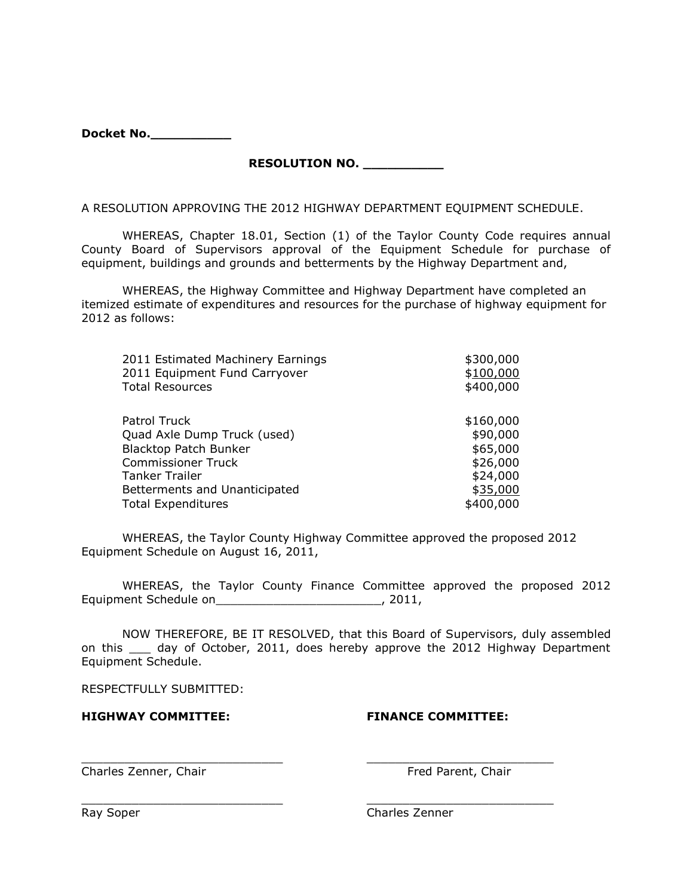| Docket No. |
|------------|
|            |

**RESOLUTION NO. \_\_\_\_\_\_\_\_\_\_**

A RESOLUTION APPROVING THE 2012 HIGHWAY DEPARTMENT EQUIPMENT SCHEDULE.

WHEREAS, Chapter 18.01, Section (1) of the Taylor County Code requires annual County Board of Supervisors approval of the Equipment Schedule for purchase of equipment, buildings and grounds and betterments by the Highway Department and,

WHEREAS, the Highway Committee and Highway Department have completed an itemized estimate of expenditures and resources for the purchase of highway equipment for 2012 as follows:

| 2011 Estimated Machinery Earnings | \$300,000 |
|-----------------------------------|-----------|
| 2011 Equipment Fund Carryover     | \$100,000 |
| <b>Total Resources</b>            | \$400,000 |
|                                   |           |
| Patrol Truck                      | \$160,000 |
| Quad Axle Dump Truck (used)       | \$90,000  |
| <b>Blacktop Patch Bunker</b>      | \$65,000  |
| <b>Commissioner Truck</b>         | \$26,000  |
| Tanker Trailer                    | \$24,000  |
| Betterments and Unanticipated     | \$35,000  |
| <b>Total Expenditures</b>         | \$400,000 |

WHEREAS, the Taylor County Highway Committee approved the proposed 2012 Equipment Schedule on August 16, 2011,

WHEREAS, the Taylor County Finance Committee approved the proposed 2012 Equipment Schedule on\_\_\_\_\_\_\_\_\_\_\_\_\_\_\_\_\_\_\_\_\_\_\_, 2011,

NOW THEREFORE, BE IT RESOLVED, that this Board of Supervisors, duly assembled on this \_\_\_ day of October, 2011, does hereby approve the 2012 Highway Department Equipment Schedule.

\_\_\_\_\_\_\_\_\_\_\_\_\_\_\_\_\_\_\_\_\_\_\_\_\_\_\_\_ \_\_\_\_\_\_\_\_\_\_\_\_\_\_\_\_\_\_\_\_\_\_\_\_\_\_

RESPECTFULLY SUBMITTED:

# **HIGHWAY COMMITTEE: FINANCE COMMITTEE:**

Charles Zenner, Chair Fred Parent, Chair

 $\_$  ,  $\_$  ,  $\_$  ,  $\_$  ,  $\_$  ,  $\_$  ,  $\_$  ,  $\_$  ,  $\_$  ,  $\_$  ,  $\_$  ,  $\_$  ,  $\_$  ,  $\_$  ,  $\_$  ,  $\_$  ,  $\_$  ,  $\_$  ,  $\_$ 

Ray Soper **Charles Zenner** Charles Zenner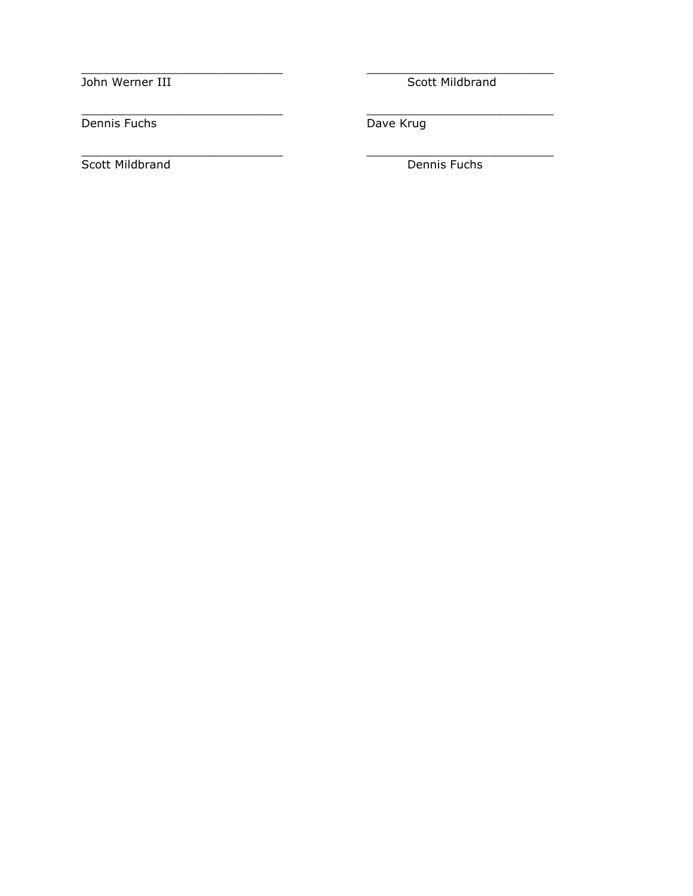John Werner III Scott Mildbrand

Dennis Fuchs Dave Krug

Scott Mildbrand Dennis Fuchs

 $\_$  ,  $\_$  ,  $\_$  ,  $\_$  ,  $\_$  ,  $\_$  ,  $\_$  ,  $\_$  ,  $\_$  ,  $\_$  ,  $\_$  ,  $\_$  ,  $\_$  ,  $\_$  ,  $\_$  ,  $\_$  ,  $\_$  ,  $\_$  ,  $\_$ 

\_\_\_\_\_\_\_\_\_\_\_\_\_\_\_\_\_\_\_\_\_\_\_\_\_\_\_\_ \_\_\_\_\_\_\_\_\_\_\_\_\_\_\_\_\_\_\_\_\_\_\_\_\_\_

 $\frac{1}{2}$  ,  $\frac{1}{2}$  ,  $\frac{1}{2}$  ,  $\frac{1}{2}$  ,  $\frac{1}{2}$  ,  $\frac{1}{2}$  ,  $\frac{1}{2}$  ,  $\frac{1}{2}$  ,  $\frac{1}{2}$  ,  $\frac{1}{2}$  ,  $\frac{1}{2}$  ,  $\frac{1}{2}$  ,  $\frac{1}{2}$  ,  $\frac{1}{2}$  ,  $\frac{1}{2}$  ,  $\frac{1}{2}$  ,  $\frac{1}{2}$  ,  $\frac{1}{2}$  ,  $\frac{1$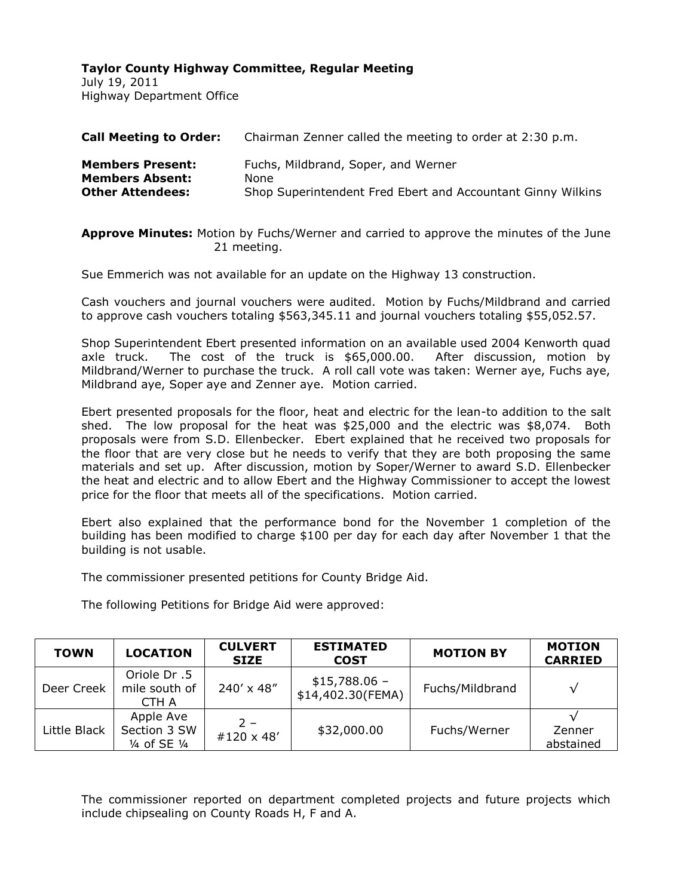July 19, 2011 Highway Department Office

| <b>Call Meeting to Order:</b> | Chairman Zenner called the meeting to order at 2:30 p.m.    |
|-------------------------------|-------------------------------------------------------------|
| <b>Members Present:</b>       | Fuchs, Mildbrand, Soper, and Werner                         |
| <b>Members Absent:</b>        | None                                                        |
| <b>Other Attendees:</b>       | Shop Superintendent Fred Ebert and Accountant Ginny Wilkins |

**Approve Minutes:** Motion by Fuchs/Werner and carried to approve the minutes of the June 21 meeting.

Sue Emmerich was not available for an update on the Highway 13 construction.

Cash vouchers and journal vouchers were audited. Motion by Fuchs/Mildbrand and carried to approve cash vouchers totaling \$563,345.11 and journal vouchers totaling \$55,052.57.

Shop Superintendent Ebert presented information on an available used 2004 Kenworth quad axle truck. The cost of the truck is \$65,000.00. After discussion, motion by Mildbrand/Werner to purchase the truck. A roll call vote was taken: Werner aye, Fuchs aye, Mildbrand aye, Soper aye and Zenner aye. Motion carried.

Ebert presented proposals for the floor, heat and electric for the lean-to addition to the salt shed. The low proposal for the heat was \$25,000 and the electric was \$8,074. Both proposals were from S.D. Ellenbecker. Ebert explained that he received two proposals for the floor that are very close but he needs to verify that they are both proposing the same materials and set up. After discussion, motion by Soper/Werner to award S.D. Ellenbecker the heat and electric and to allow Ebert and the Highway Commissioner to accept the lowest price for the floor that meets all of the specifications. Motion carried.

Ebert also explained that the performance bond for the November 1 completion of the building has been modified to charge \$100 per day for each day after November 1 that the building is not usable.

The commissioner presented petitions for County Bridge Aid.

The following Petitions for Bridge Aid were approved:

| <b>TOWN</b>  | <b>LOCATION</b>                            | <b>CULVERT</b><br><b>SIZE</b> | <b>ESTIMATED</b><br><b>COST</b>     | <b>MOTION BY</b> | <b>MOTION</b><br><b>CARRIED</b> |
|--------------|--------------------------------------------|-------------------------------|-------------------------------------|------------------|---------------------------------|
| Deer Creek   | Oriole Dr.5<br>mile south of<br>CTH A      | $240' \times 48''$            | $$15,788.06 -$<br>\$14,402.30(FEMA) | Fuchs/Mildbrand  | $\sqrt{}$                       |
| Little Black | Apple Ave<br>Section 3 SW<br>1/4 of SE 1/4 | $2 -$<br>#120 $\times$ 48'    | \$32,000.00                         | Fuchs/Werner     | Zenner<br>abstained             |

The commissioner reported on department completed projects and future projects which include chipsealing on County Roads H, F and A.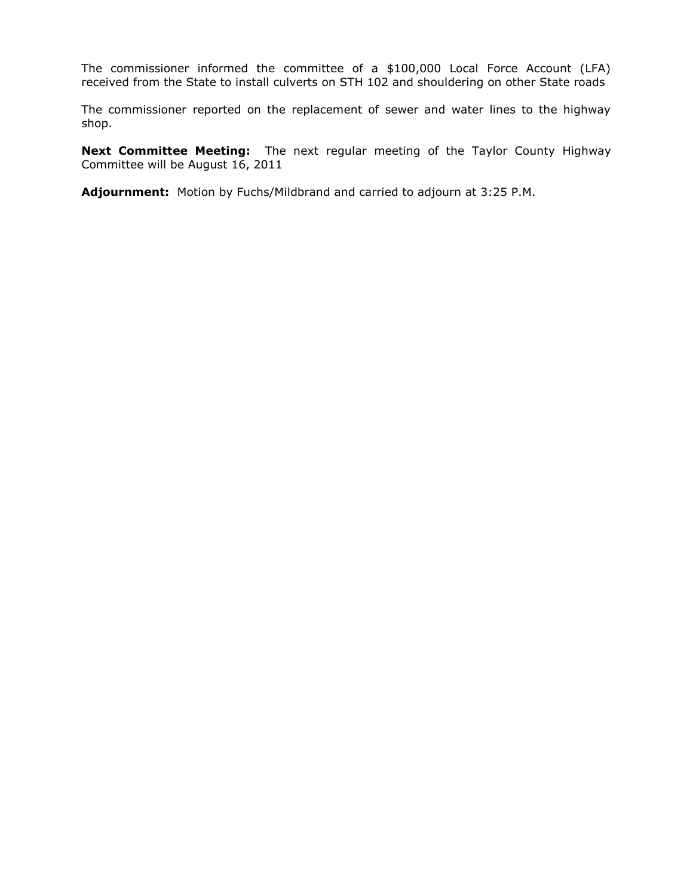The commissioner informed the committee of a \$100,000 Local Force Account (LFA) received from the State to install culverts on STH 102 and shouldering on other State roads

The commissioner reported on the replacement of sewer and water lines to the highway shop.

**Next Committee Meeting:** The next regular meeting of the Taylor County Highway Committee will be August 16, 2011

**Adjournment:** Motion by Fuchs/Mildbrand and carried to adjourn at 3:25 P.M.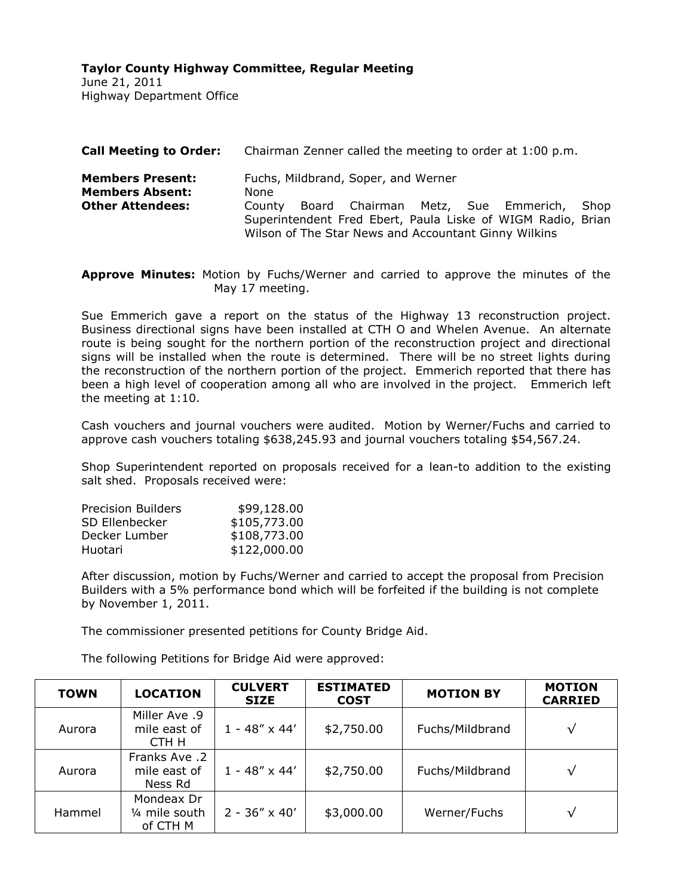June 21, 2011 Highway Department Office

|                                                                                                                                                                                                                                                                                                    | Chairman Zenner called the meeting to order at 1:00 p.m. |  |  |  |  |
|----------------------------------------------------------------------------------------------------------------------------------------------------------------------------------------------------------------------------------------------------------------------------------------------------|----------------------------------------------------------|--|--|--|--|
| Fuchs, Mildbrand, Soper, and Werner<br><b>Members Present:</b><br><b>Members Absent:</b><br>None<br><b>Other Attendees:</b><br>Board Chairman Metz, Sue Emmerich,<br>County<br>Superintendent Fred Ebert, Paula Liske of WIGM Radio, Brian<br>Wilson of The Star News and Accountant Ginny Wilkins | Shop                                                     |  |  |  |  |

**Approve Minutes:** Motion by Fuchs/Werner and carried to approve the minutes of the May 17 meeting.

Sue Emmerich gave a report on the status of the Highway 13 reconstruction project. Business directional signs have been installed at CTH O and Whelen Avenue. An alternate route is being sought for the northern portion of the reconstruction project and directional signs will be installed when the route is determined. There will be no street lights during the reconstruction of the northern portion of the project. Emmerich reported that there has been a high level of cooperation among all who are involved in the project. Emmerich left the meeting at 1:10.

Cash vouchers and journal vouchers were audited. Motion by Werner/Fuchs and carried to approve cash vouchers totaling \$638,245.93 and journal vouchers totaling \$54,567.24.

Shop Superintendent reported on proposals received for a lean-to addition to the existing salt shed. Proposals received were:

| <b>Precision Builders</b> | \$99,128.00  |
|---------------------------|--------------|
| SD Ellenbecker            | \$105,773.00 |
| Decker Lumber             | \$108,773.00 |
| Huotari                   | \$122,000.00 |
|                           |              |

After discussion, motion by Fuchs/Werner and carried to accept the proposal from Precision Builders with a 5% performance bond which will be forfeited if the building is not complete by November 1, 2011.

The commissioner presented petitions for County Bridge Aid.

The following Petitions for Bridge Aid were approved:

| <b>TOWN</b> | <b>LOCATION</b>                          | <b>CULVERT</b><br><b>SIZE</b> | <b>ESTIMATED</b><br><b>COST</b> | <b>MOTION BY</b> | <b>MOTION</b><br><b>CARRIED</b> |
|-------------|------------------------------------------|-------------------------------|---------------------------------|------------------|---------------------------------|
| Aurora      | Miller Ave .9<br>mile east of<br>CTH H   | $1 - 48'' \times 44'$         | \$2,750.00                      | Fuchs/Mildbrand  | √                               |
| Aurora      | Franks Ave .2<br>mile east of<br>Ness Rd | $1 - 48'' \times 44'$         | \$2,750.00                      | Fuchs/Mildbrand  | √                               |
| Hammel      | Mondeax Dr<br>1/4 mile south<br>of CTH M | $2 - 36'' \times 40'$         | \$3,000.00                      | Werner/Fuchs     | √                               |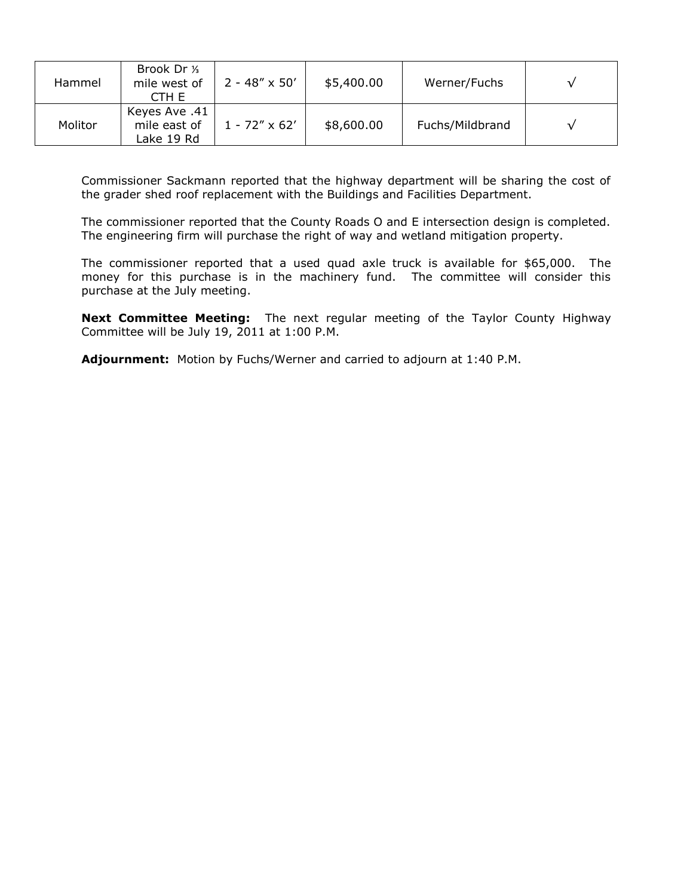| Hammel  | Brook Dr 1/ <sub>3</sub><br>mile west of<br>CTH EI | $2 - 48'' \times 50'$ | \$5,400.00 | Werner/Fuchs    |  |
|---------|----------------------------------------------------|-----------------------|------------|-----------------|--|
| Molitor | Keyes Ave .41<br>mile east of<br>Lake 19 Rd        | $1 - 72'' \times 62'$ | \$8,600.00 | Fuchs/Mildbrand |  |

Commissioner Sackmann reported that the highway department will be sharing the cost of the grader shed roof replacement with the Buildings and Facilities Department.

The commissioner reported that the County Roads O and E intersection design is completed. The engineering firm will purchase the right of way and wetland mitigation property.

The commissioner reported that a used quad axle truck is available for \$65,000. The money for this purchase is in the machinery fund. The committee will consider this purchase at the July meeting.

**Next Committee Meeting:** The next regular meeting of the Taylor County Highway Committee will be July 19, 2011 at 1:00 P.M.

**Adjournment:** Motion by Fuchs/Werner and carried to adjourn at 1:40 P.M.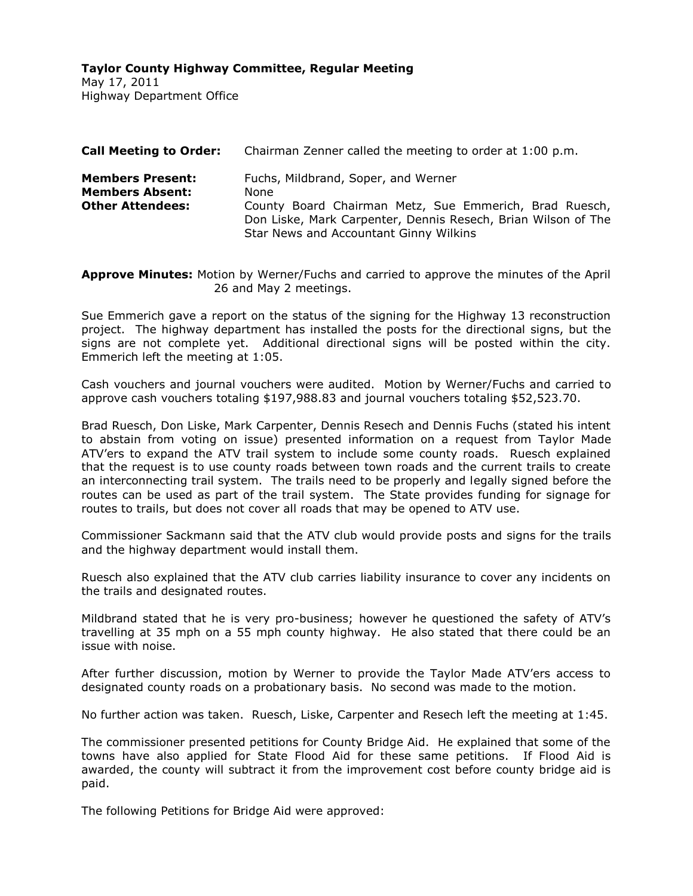May 17, 2011 Highway Department Office

| <b>Call Meeting to Order:</b>                                                | Chairman Zenner called the meeting to order at 1:00 p.m.                                                                                                                                                         |  |  |
|------------------------------------------------------------------------------|------------------------------------------------------------------------------------------------------------------------------------------------------------------------------------------------------------------|--|--|
| <b>Members Present:</b><br><b>Members Absent:</b><br><b>Other Attendees:</b> | Fuchs, Mildbrand, Soper, and Werner<br>None<br>County Board Chairman Metz, Sue Emmerich, Brad Ruesch,<br>Don Liske, Mark Carpenter, Dennis Resech, Brian Wilson of The<br>Star News and Accountant Ginny Wilkins |  |  |
|                                                                              |                                                                                                                                                                                                                  |  |  |

**Approve Minutes:** Motion by Werner/Fuchs and carried to approve the minutes of the April 26 and May 2 meetings.

Sue Emmerich gave a report on the status of the signing for the Highway 13 reconstruction project. The highway department has installed the posts for the directional signs, but the signs are not complete yet. Additional directional signs will be posted within the city. Emmerich left the meeting at 1:05.

Cash vouchers and journal vouchers were audited. Motion by Werner/Fuchs and carried to approve cash vouchers totaling \$197,988.83 and journal vouchers totaling \$52,523.70.

Brad Ruesch, Don Liske, Mark Carpenter, Dennis Resech and Dennis Fuchs (stated his intent to abstain from voting on issue) presented information on a request from Taylor Made ATV'ers to expand the ATV trail system to include some county roads. Ruesch explained that the request is to use county roads between town roads and the current trails to create an interconnecting trail system. The trails need to be properly and legally signed before the routes can be used as part of the trail system. The State provides funding for signage for routes to trails, but does not cover all roads that may be opened to ATV use.

Commissioner Sackmann said that the ATV club would provide posts and signs for the trails and the highway department would install them.

Ruesch also explained that the ATV club carries liability insurance to cover any incidents on the trails and designated routes.

Mildbrand stated that he is very pro-business; however he questioned the safety of ATV's travelling at 35 mph on a 55 mph county highway. He also stated that there could be an issue with noise.

After further discussion, motion by Werner to provide the Taylor Made ATV'ers access to designated county roads on a probationary basis. No second was made to the motion.

No further action was taken. Ruesch, Liske, Carpenter and Resech left the meeting at 1:45.

The commissioner presented petitions for County Bridge Aid. He explained that some of the towns have also applied for State Flood Aid for these same petitions. If Flood Aid is awarded, the county will subtract it from the improvement cost before county bridge aid is paid.

The following Petitions for Bridge Aid were approved: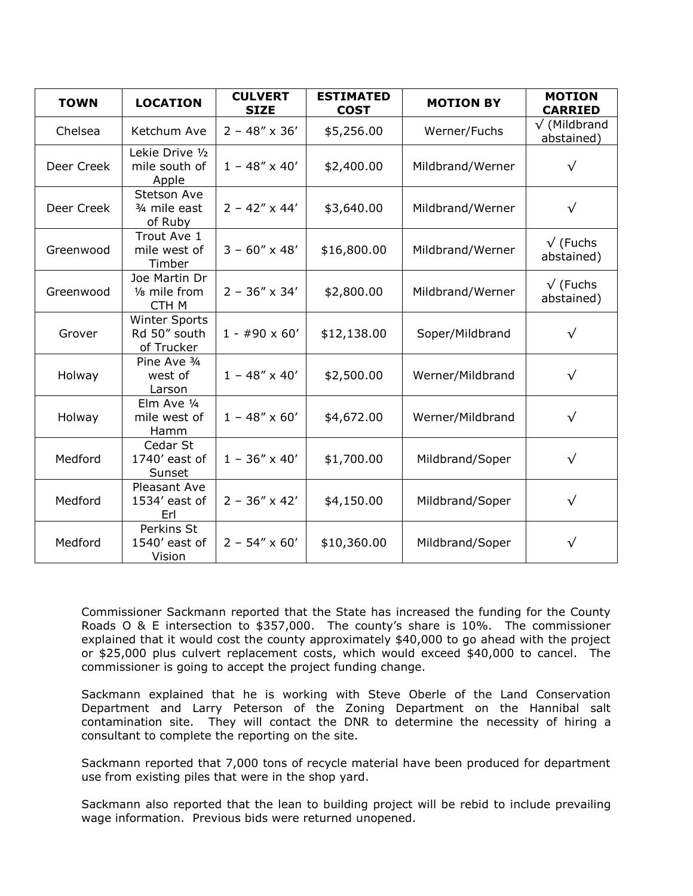| <b>TOWN</b> | <b>LOCATION</b>                                    | <b>CULVERT</b><br><b>SIZE</b> | <b>ESTIMATED</b><br><b>COST</b> | <b>MOTION BY</b> | <b>MOTION</b><br><b>CARRIED</b>    |
|-------------|----------------------------------------------------|-------------------------------|---------------------------------|------------------|------------------------------------|
| Chelsea     | Ketchum Ave                                        | $2 - 48'' \times 36'$         | \$5,256.00                      | Werner/Fuchs     | $\sqrt{}$ (Mildbrand<br>abstained) |
| Deer Creek  | Lekie Drive 1/2<br>mile south of<br>Apple          | $1 - 48'' \times 40'$         | \$2,400.00                      | Mildbrand/Werner | $\sqrt{}$                          |
| Deer Creek  | <b>Stetson Ave</b><br>3/4 mile east<br>of Ruby     | $2 - 42'' \times 44'$         | \$3,640.00                      | Mildbrand/Werner | $\sqrt{}$                          |
| Greenwood   | Trout Ave 1<br>mile west of<br>Timber              | $3 - 60'' \times 48'$         | \$16,800.00                     | Mildbrand/Werner | $\sqrt{}$ (Fuchs<br>abstained)     |
| Greenwood   | Joe Martin Dr<br>1/8 mile from<br>CTH M            | $2 - 36'' \times 34'$         | \$2,800.00                      | Mildbrand/Werner | $\sqrt{}$ (Fuchs<br>abstained)     |
| Grover      | <b>Winter Sports</b><br>Rd 50" south<br>of Trucker | $1 - #90 \times 60'$          | \$12,138.00                     | Soper/Mildbrand  | $\sqrt{}$                          |
| Holway      | Pine Ave 3/4<br>west of<br>Larson                  | $1 - 48'' \times 40'$         | \$2,500.00                      | Werner/Mildbrand | $\sqrt{}$                          |
| Holway      | Elm Ave 1/4<br>mile west of<br>Hamm                | $1 - 48'' \times 60'$         | \$4,672.00                      | Werner/Mildbrand | $\sqrt{}$                          |
| Medford     | Cedar St<br>1740' east of<br>Sunset                | $1 - 36'' \times 40'$         | \$1,700.00                      | Mildbrand/Soper  | $\sqrt{}$                          |
| Medford     | Pleasant Ave<br>1534' east of<br>Erl               | $2 - 36'' \times 42'$         | \$4,150.00                      | Mildbrand/Soper  | $\sqrt{}$                          |
| Medford     | Perkins St<br>1540' east of<br>Vision              | $2 - 54'' \times 60'$         | \$10,360.00                     | Mildbrand/Soper  | $\sqrt{}$                          |

Commissioner Sackmann reported that the State has increased the funding for the County Roads O & E intersection to \$357,000. The county's share is 10%. The commissioner explained that it would cost the county approximately \$40,000 to go ahead with the project or \$25,000 plus culvert replacement costs, which would exceed \$40,000 to cancel. The commissioner is going to accept the project funding change.

Sackmann explained that he is working with Steve Oberle of the Land Conservation Department and Larry Peterson of the Zoning Department on the Hannibal salt contamination site. They will contact the DNR to determine the necessity of hiring a consultant to complete the reporting on the site.

Sackmann reported that 7,000 tons of recycle material have been produced for department use from existing piles that were in the shop yard.

Sackmann also reported that the lean to building project will be rebid to include prevailing wage information. Previous bids were returned unopened.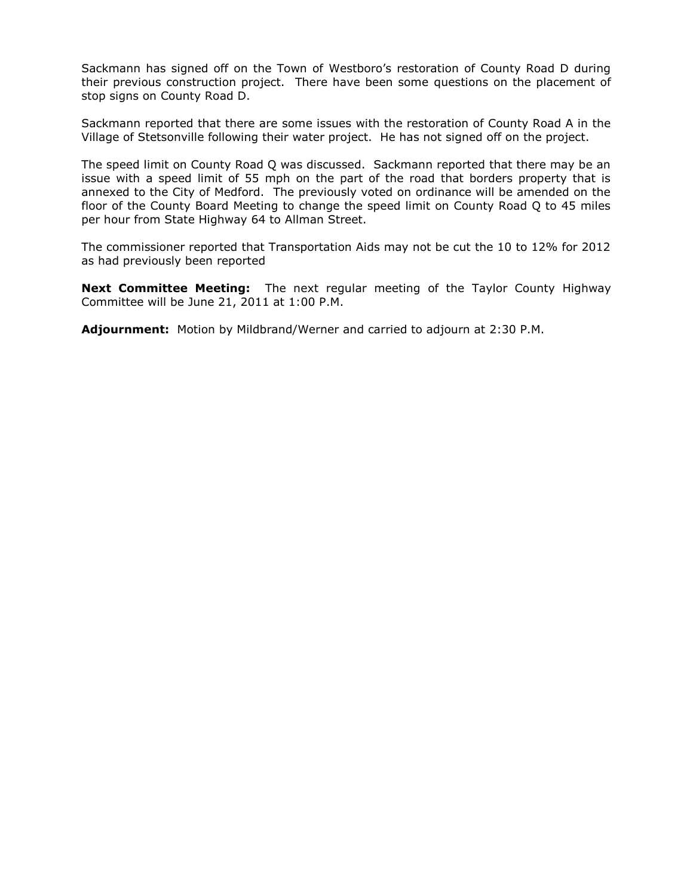Sackmann has signed off on the Town of Westboro's restoration of County Road D during their previous construction project. There have been some questions on the placement of stop signs on County Road D.

Sackmann reported that there are some issues with the restoration of County Road A in the Village of Stetsonville following their water project. He has not signed off on the project.

The speed limit on County Road Q was discussed. Sackmann reported that there may be an issue with a speed limit of 55 mph on the part of the road that borders property that is annexed to the City of Medford. The previously voted on ordinance will be amended on the floor of the County Board Meeting to change the speed limit on County Road Q to 45 miles per hour from State Highway 64 to Allman Street.

The commissioner reported that Transportation Aids may not be cut the 10 to 12% for 2012 as had previously been reported

**Next Committee Meeting:** The next regular meeting of the Taylor County Highway Committee will be June 21, 2011 at 1:00 P.M.

**Adjournment:** Motion by Mildbrand/Werner and carried to adjourn at 2:30 P.M.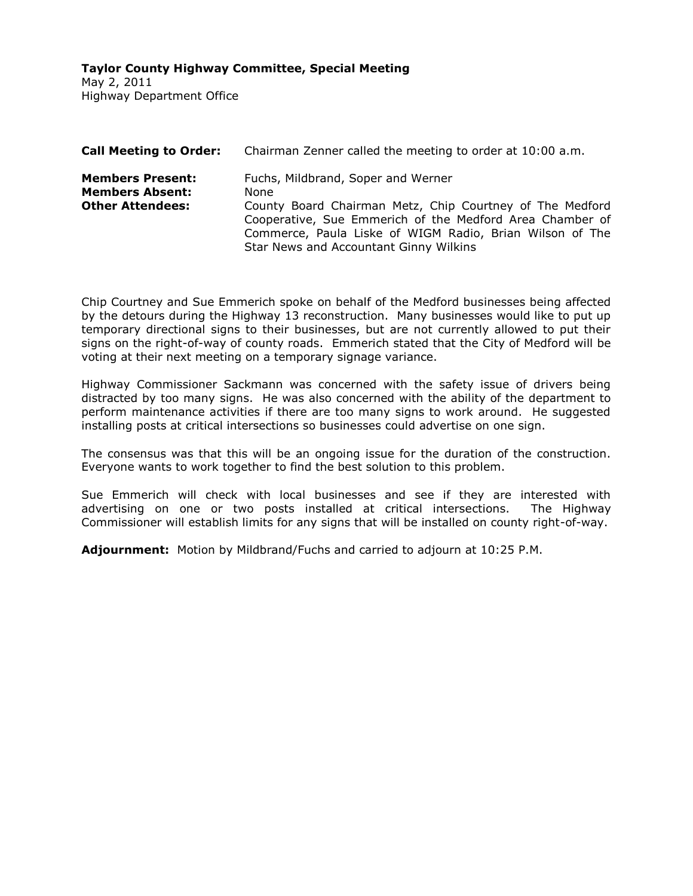**Taylor County Highway Committee, Special Meeting**

May 2, 2011 Highway Department Office

| <b>Call Meeting to Order:</b>                                                | Chairman Zenner called the meeting to order at 10:00 a.m.                                                                                                                                                                                                                |
|------------------------------------------------------------------------------|--------------------------------------------------------------------------------------------------------------------------------------------------------------------------------------------------------------------------------------------------------------------------|
| <b>Members Present:</b><br><b>Members Absent:</b><br><b>Other Attendees:</b> | Fuchs, Mildbrand, Soper and Werner<br>None<br>County Board Chairman Metz, Chip Courtney of The Medford<br>Cooperative, Sue Emmerich of the Medford Area Chamber of<br>Commerce, Paula Liske of WIGM Radio, Brian Wilson of The<br>Star News and Accountant Ginny Wilkins |

Chip Courtney and Sue Emmerich spoke on behalf of the Medford businesses being affected by the detours during the Highway 13 reconstruction. Many businesses would like to put up temporary directional signs to their businesses, but are not currently allowed to put their signs on the right-of-way of county roads. Emmerich stated that the City of Medford will be voting at their next meeting on a temporary signage variance.

Highway Commissioner Sackmann was concerned with the safety issue of drivers being distracted by too many signs. He was also concerned with the ability of the department to perform maintenance activities if there are too many signs to work around. He suggested installing posts at critical intersections so businesses could advertise on one sign.

The consensus was that this will be an ongoing issue for the duration of the construction. Everyone wants to work together to find the best solution to this problem.

Sue Emmerich will check with local businesses and see if they are interested with advertising on one or two posts installed at critical intersections. The Highway Commissioner will establish limits for any signs that will be installed on county right-of-way.

**Adjournment:** Motion by Mildbrand/Fuchs and carried to adjourn at 10:25 P.M.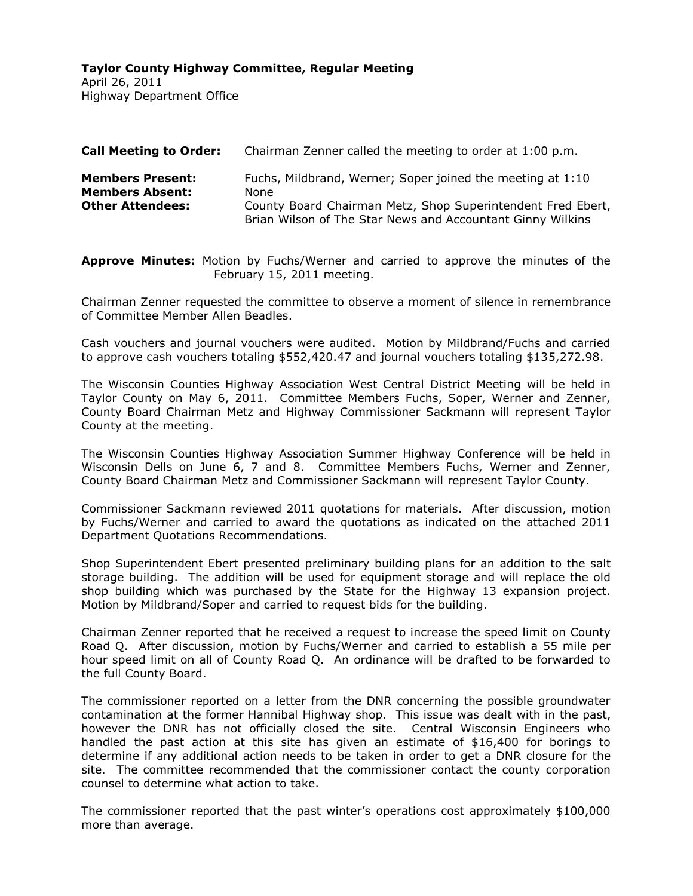April 26, 2011 Highway Department Office

| <b>Call Meeting to Order:</b>                                                | Chairman Zenner called the meeting to order at 1:00 p.m.                                                                                                                                        |
|------------------------------------------------------------------------------|-------------------------------------------------------------------------------------------------------------------------------------------------------------------------------------------------|
| <b>Members Present:</b><br><b>Members Absent:</b><br><b>Other Attendees:</b> | Fuchs, Mildbrand, Werner; Soper joined the meeting at 1:10<br>None<br>County Board Chairman Metz, Shop Superintendent Fred Ebert,<br>Brian Wilson of The Star News and Accountant Ginny Wilkins |

**Approve Minutes:** Motion by Fuchs/Werner and carried to approve the minutes of the February 15, 2011 meeting.

Chairman Zenner requested the committee to observe a moment of silence in remembrance of Committee Member Allen Beadles.

Cash vouchers and journal vouchers were audited. Motion by Mildbrand/Fuchs and carried to approve cash vouchers totaling \$552,420.47 and journal vouchers totaling \$135,272.98.

The Wisconsin Counties Highway Association West Central District Meeting will be held in Taylor County on May 6, 2011. Committee Members Fuchs, Soper, Werner and Zenner, County Board Chairman Metz and Highway Commissioner Sackmann will represent Taylor County at the meeting.

The Wisconsin Counties Highway Association Summer Highway Conference will be held in Wisconsin Dells on June 6, 7 and 8. Committee Members Fuchs, Werner and Zenner, County Board Chairman Metz and Commissioner Sackmann will represent Taylor County.

Commissioner Sackmann reviewed 2011 quotations for materials. After discussion, motion by Fuchs/Werner and carried to award the quotations as indicated on the attached 2011 Department Quotations Recommendations.

Shop Superintendent Ebert presented preliminary building plans for an addition to the salt storage building. The addition will be used for equipment storage and will replace the old shop building which was purchased by the State for the Highway 13 expansion project. Motion by Mildbrand/Soper and carried to request bids for the building.

Chairman Zenner reported that he received a request to increase the speed limit on County Road Q. After discussion, motion by Fuchs/Werner and carried to establish a 55 mile per hour speed limit on all of County Road Q. An ordinance will be drafted to be forwarded to the full County Board.

The commissioner reported on a letter from the DNR concerning the possible groundwater contamination at the former Hannibal Highway shop. This issue was dealt with in the past, however the DNR has not officially closed the site. Central Wisconsin Engineers who handled the past action at this site has given an estimate of \$16,400 for borings to determine if any additional action needs to be taken in order to get a DNR closure for the site. The committee recommended that the commissioner contact the county corporation counsel to determine what action to take.

The commissioner reported that the past winter's operations cost approximately \$100,000 more than average.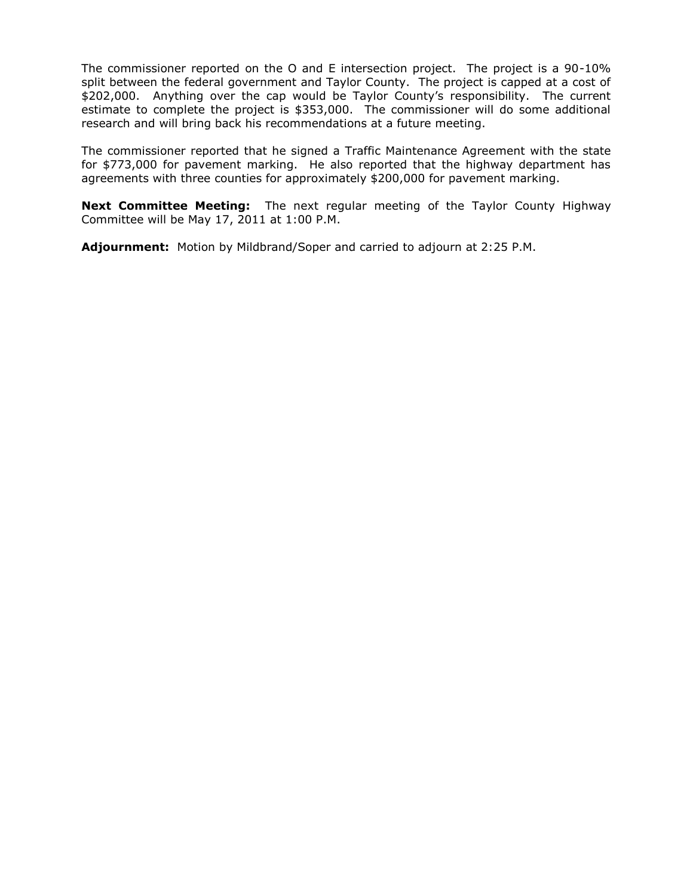The commissioner reported on the O and E intersection project. The project is a 90-10% split between the federal government and Taylor County. The project is capped at a cost of \$202,000. Anything over the cap would be Taylor County's responsibility. The current estimate to complete the project is \$353,000. The commissioner will do some additional research and will bring back his recommendations at a future meeting.

The commissioner reported that he signed a Traffic Maintenance Agreement with the state for \$773,000 for pavement marking. He also reported that the highway department has agreements with three counties for approximately \$200,000 for pavement marking.

**Next Committee Meeting:** The next regular meeting of the Taylor County Highway Committee will be May 17, 2011 at 1:00 P.M.

**Adjournment:** Motion by Mildbrand/Soper and carried to adjourn at 2:25 P.M.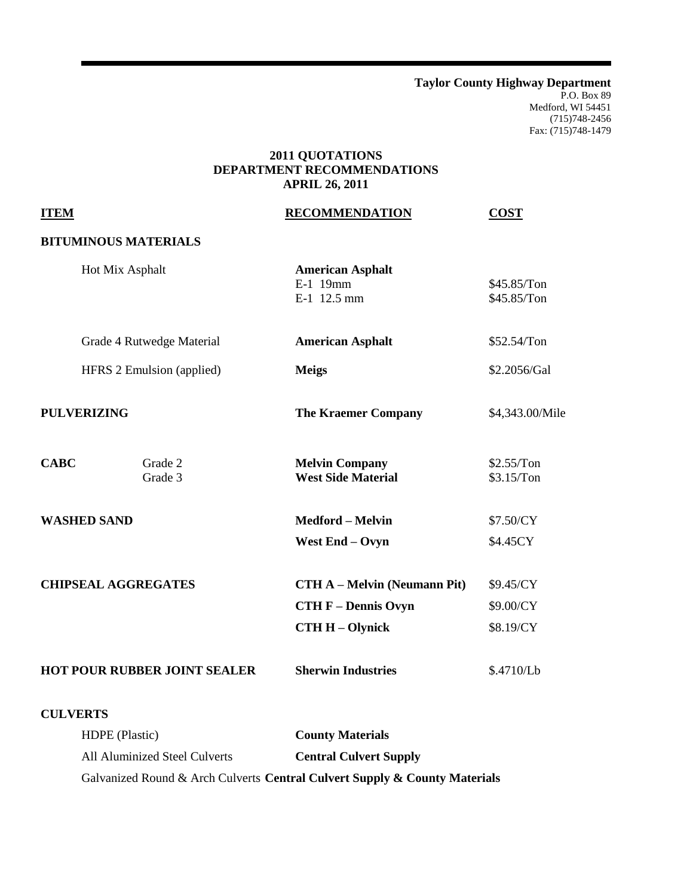**Taylor County Highway Department** P.O. Box 89 Medford, WI 54451 (715)748-2456 Fax: (715)748-1479

# **2011 QUOTATIONS DEPARTMENT RECOMMENDATIONS APRIL 26, 2011**

| <b>ITEM</b>                   |                                     | <b>RECOMMENDATION</b>                              | <b>COST</b>                |
|-------------------------------|-------------------------------------|----------------------------------------------------|----------------------------|
|                               | <b>BITUMINOUS MATERIALS</b>         |                                                    |                            |
|                               | Hot Mix Asphalt                     | <b>American Asphalt</b><br>E-1 19mm<br>E-1 12.5 mm | \$45.85/Ton<br>\$45.85/Ton |
|                               | Grade 4 Rutwedge Material           | <b>American Asphalt</b>                            | \$52.54/Ton                |
|                               | HFRS 2 Emulsion (applied)           | <b>Meigs</b>                                       | \$2.2056/Gal               |
| <b>PULVERIZING</b>            |                                     | <b>The Kraemer Company</b>                         | \$4,343.00/Mile            |
| <b>CABC</b>                   | Grade 2<br>Grade 3                  | <b>Melvin Company</b><br><b>West Side Material</b> | \$2.55/Ton<br>\$3.15/Ton   |
| <b>WASHED SAND</b>            |                                     | <b>Medford - Melvin</b>                            | \$7.50/CY                  |
|                               |                                     | West End - Ovyn                                    | \$4.45CY                   |
| <b>CHIPSEAL AGGREGATES</b>    |                                     | <b>CTH A – Melvin (Neumann Pit)</b>                | \$9.45/CY                  |
|                               |                                     | <b>CTH F - Dennis Ovyn</b>                         | \$9.00/CY                  |
|                               |                                     | <b>CTH H - Olynick</b>                             | \$8.19/CY                  |
|                               | <b>HOT POUR RUBBER JOINT SEALER</b> | <b>Sherwin Industries</b>                          | \$.4710/Lb                 |
| <b>CULVERTS</b>               |                                     |                                                    |                            |
|                               | HDPE (Plastic)                      | <b>County Materials</b>                            |                            |
| All Aluminized Steel Culverts |                                     | <b>Central Culvert Supply</b>                      |                            |

Galvanized Round & Arch Culverts **Central Culvert Supply & County Materials**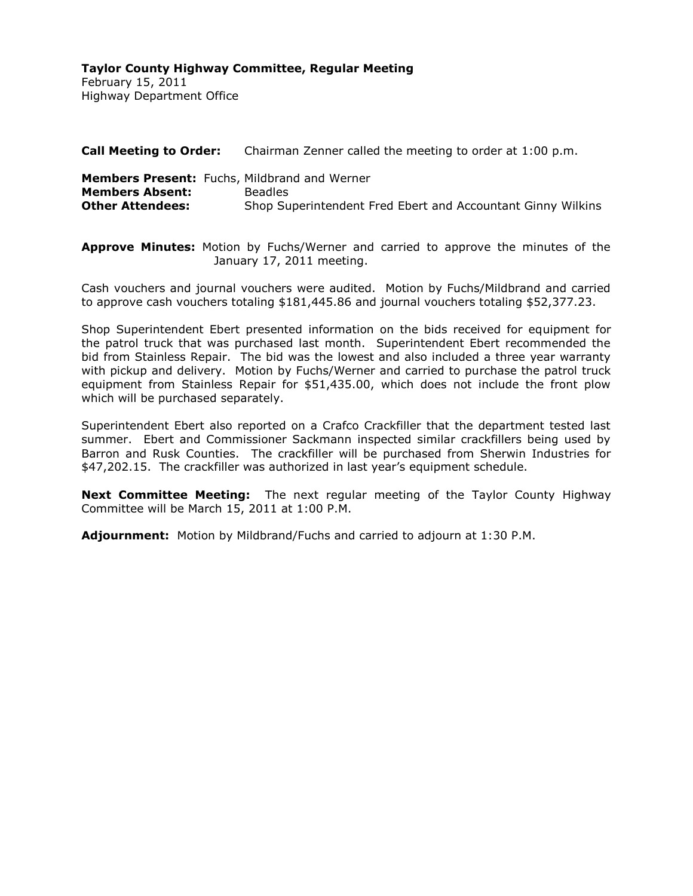February 15, 2011 Highway Department Office

| <b>Call Meeting to Order:</b>                                                                            | Chairman Zenner called the meeting to order at 1:00 p.m.                      |
|----------------------------------------------------------------------------------------------------------|-------------------------------------------------------------------------------|
| <b>Members Present:</b> Fuchs, Mildbrand and Werner<br><b>Members Absent:</b><br><b>Other Attendees:</b> | <b>Beadles</b><br>Shop Superintendent Fred Ebert and Accountant Ginny Wilkins |

**Approve Minutes:** Motion by Fuchs/Werner and carried to approve the minutes of the January 17, 2011 meeting.

Cash vouchers and journal vouchers were audited. Motion by Fuchs/Mildbrand and carried to approve cash vouchers totaling \$181,445.86 and journal vouchers totaling \$52,377.23.

Shop Superintendent Ebert presented information on the bids received for equipment for the patrol truck that was purchased last month. Superintendent Ebert recommended the bid from Stainless Repair. The bid was the lowest and also included a three year warranty with pickup and delivery. Motion by Fuchs/Werner and carried to purchase the patrol truck equipment from Stainless Repair for \$51,435.00, which does not include the front plow which will be purchased separately.

Superintendent Ebert also reported on a Crafco Crackfiller that the department tested last summer. Ebert and Commissioner Sackmann inspected similar crackfillers being used by Barron and Rusk Counties. The crackfiller will be purchased from Sherwin Industries for \$47,202.15. The crackfiller was authorized in last year's equipment schedule.

**Next Committee Meeting:** The next regular meeting of the Taylor County Highway Committee will be March 15, 2011 at 1:00 P.M.

**Adjournment:** Motion by Mildbrand/Fuchs and carried to adjourn at 1:30 P.M.